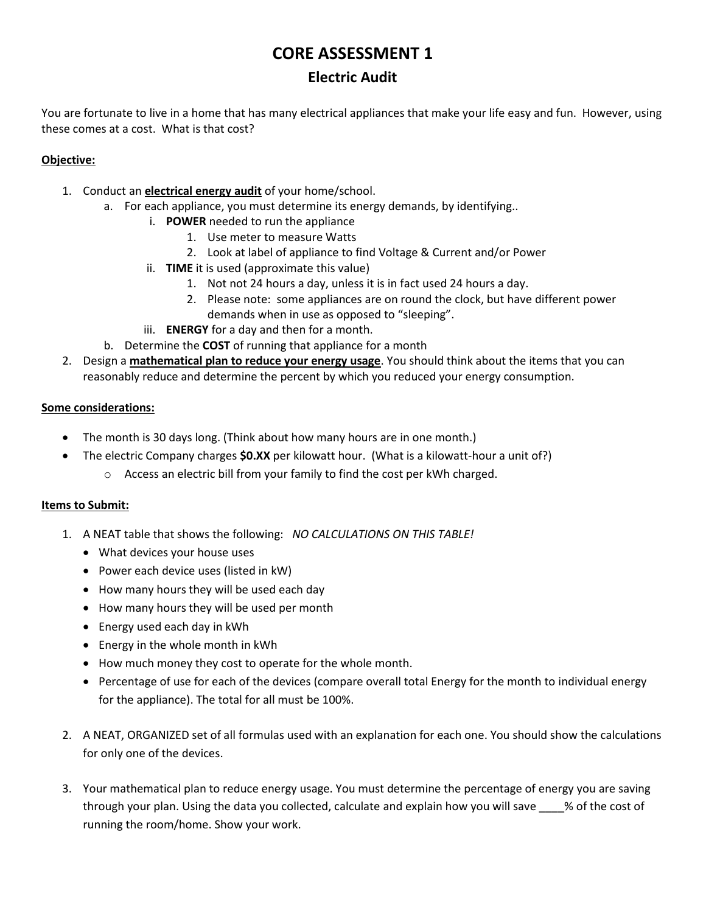# **CORE ASSESSMENT 1**

### **Electric Audit**

You are fortunate to live in a home that has many electrical appliances that make your life easy and fun. However, using these comes at a cost. What is that cost?

#### **Objective:**

- 1. Conduct an **electrical energy audit** of your home/school.
	- a. For each appliance, you must determine its energy demands, by identifying..
		- i. **POWER** needed to run the appliance
			- 1. Use meter to measure Watts
			- 2. Look at label of appliance to find Voltage & Current and/or Power
		- ii. **TIME** it is used (approximate this value)
			- 1. Not not 24 hours a day, unless it is in fact used 24 hours a day.
			- 2. Please note: some appliances are on round the clock, but have different power demands when in use as opposed to "sleeping".
		- iii. **ENERGY** for a day and then for a month.
	- b. Determine the **COST** of running that appliance for a month
- 2. Design a **mathematical plan to reduce your energy usage**. You should think about the items that you can reasonably reduce and determine the percent by which you reduced your energy consumption.

#### **Some considerations:**

- The month is 30 days long. (Think about how many hours are in one month.)
- The electric Company charges **\$0.XX** per kilowatt hour. (What is a kilowatt-hour a unit of?)
	- o Access an electric bill from your family to find the cost per kWh charged.

#### **Items to Submit:**

- 1. A NEAT table that shows the following: *NO CALCULATIONS ON THIS TABLE!*
	- What devices your house uses
	- Power each device uses (listed in kW)
	- How many hours they will be used each day
	- How many hours they will be used per month
	- Energy used each day in kWh
	- Energy in the whole month in kWh
	- How much money they cost to operate for the whole month.
	- Percentage of use for each of the devices (compare overall total Energy for the month to individual energy for the appliance). The total for all must be 100%.
- 2. A NEAT, ORGANIZED set of all formulas used with an explanation for each one. You should show the calculations for only one of the devices.
- 3. Your mathematical plan to reduce energy usage. You must determine the percentage of energy you are saving through your plan. Using the data you collected, calculate and explain how you will save \_\_\_\_% of the cost of running the room/home. Show your work.